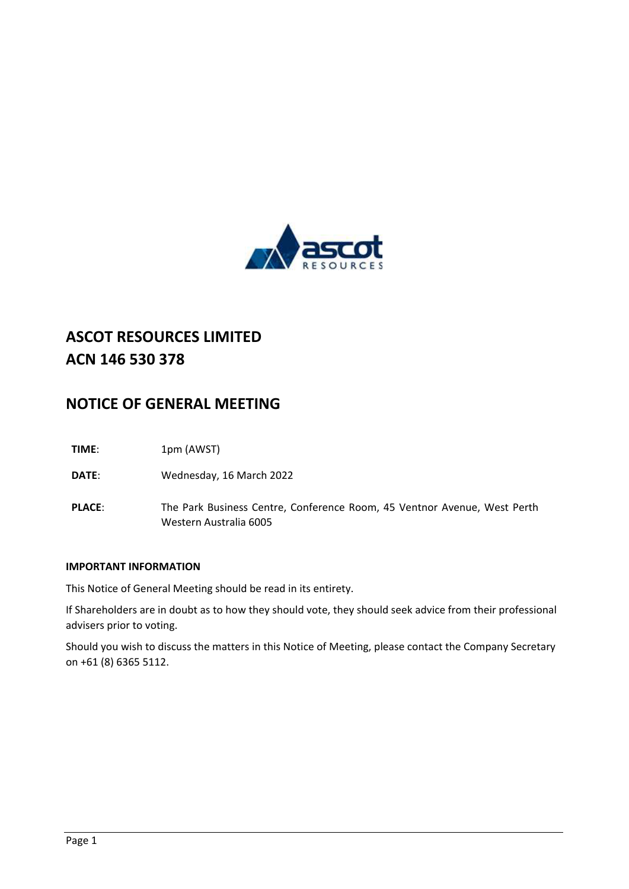

# **ASCOT RESOURCES LIMITED ACN 146 530 378**

## **NOTICE OF GENERAL MEETING**

**TIME**: 1pm (AWST)

**DATE**: Wednesday, 16 March 2022

**PLACE**: The Park Business Centre, Conference Room, 45 Ventnor Avenue, West Perth Western Australia 6005

### **IMPORTANT INFORMATION**

This Notice of General Meeting should be read in its entirety.

If Shareholders are in doubt as to how they should vote, they should seek advice from their professional advisers prior to voting.

Should you wish to discuss the matters in this Notice of Meeting, please contact the Company Secretary on +61 (8) 6365 5112.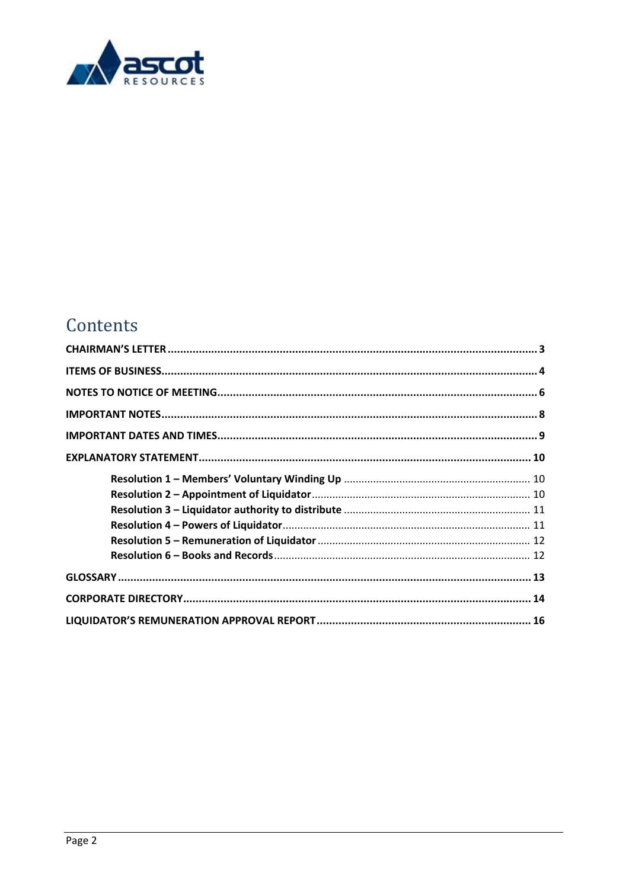

# Contents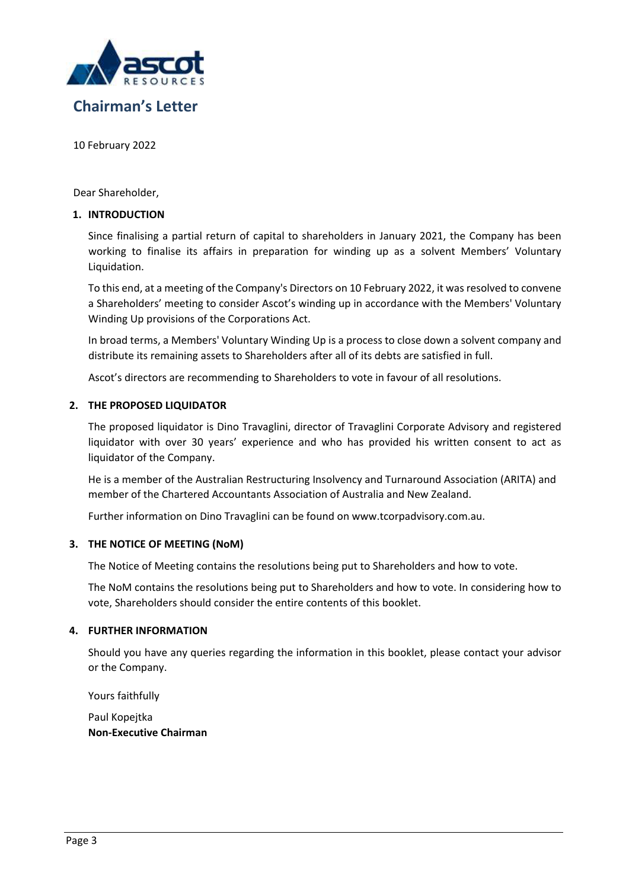

## <span id="page-2-0"></span>**Chairman's Letter**

10 February 2022

Dear Shareholder,

### **1. INTRODUCTION**

Since finalising a partial return of capital to shareholders in January 2021, the Company has been working to finalise its affairs in preparation for winding up as a solvent Members' Voluntary Liquidation.

To this end, at a meeting of the Company's Directors on 10 February 2022, it was resolved to convene a Shareholders' meeting to consider Ascot's winding up in accordance with the Members' Voluntary Winding Up provisions of the Corporations Act.

In broad terms, a Members' Voluntary Winding Up is a process to close down a solvent company and distribute its remaining assets to Shareholders after all of its debts are satisfied in full.

Ascot's directors are recommending to Shareholders to vote in favour of all resolutions.

### **2. THE PROPOSED LIQUIDATOR**

The proposed liquidator is Dino Travaglini, director of Travaglini Corporate Advisory and registered liquidator with over 30 years' experience and who has provided his written consent to act as liquidator of the Company.

He is a member of the Australian Restructuring Insolvency and Turnaround Association (ARITA) and member of the Chartered Accountants Association of Australia and New Zealand.

Further information on Dino Travaglini can be found on [www.tcorpadvisory.com.au.](http://www.tcorpadvisory.com.au/)

### **3. THE NOTICE OF MEETING (NoM)**

The Notice of Meeting contains the resolutions being put to Shareholders and how to vote.

The NoM contains the resolutions being put to Shareholders and how to vote. In considering how to vote, Shareholders should consider the entire contents of this booklet.

### **4. FURTHER INFORMATION**

Should you have any queries regarding the information in this booklet, please contact your advisor or the Company.

Yours faithfully

Paul Kopejtka **Non-Executive Chairman**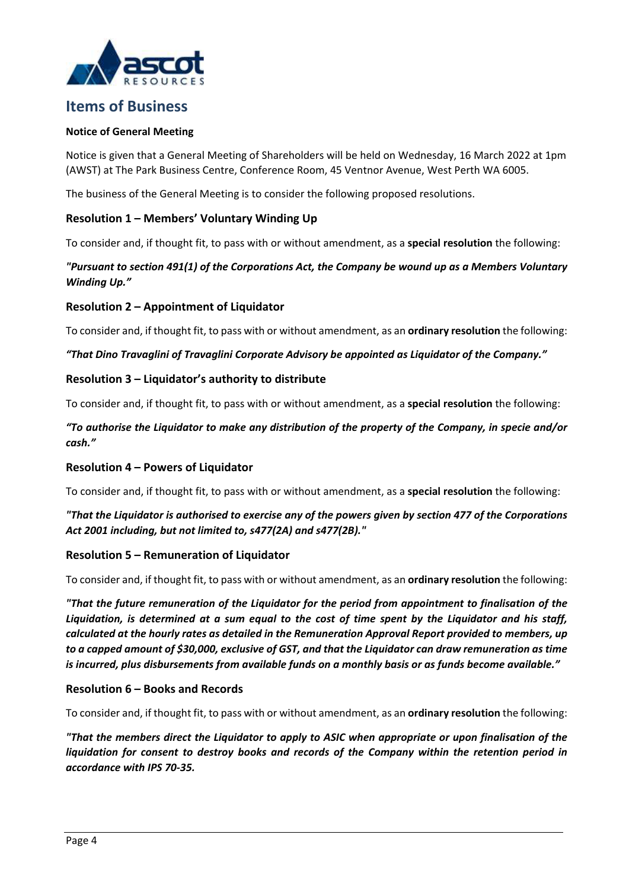

### <span id="page-3-0"></span>**Items of Business**

### **Notice of General Meeting**

Notice is given that a General Meeting of Shareholders will be held on Wednesday, 16 March 2022 at 1pm (AWST) at The Park Business Centre, Conference Room, 45 Ventnor Avenue, West Perth WA 6005.

The business of the General Meeting is to consider the following proposed resolutions.

### **Resolution 1 – Members' Voluntary Winding Up**

To consider and, if thought fit, to pass with or without amendment, as a **special resolution** the following:

### *"Pursuant to section 491(1) of the Corporations Act, the Company be wound up as a Members Voluntary Winding Up."*

### **Resolution 2 – Appointment of Liquidator**

To consider and, if thought fit, to pass with or without amendment, as an **ordinary resolution** the following:

### *"That Dino Travaglini of Travaglini Corporate Advisory be appointed as Liquidator of the Company."*

### **Resolution 3 – Liquidator's authority to distribute**

To consider and, if thought fit, to pass with or without amendment, as a **special resolution** the following:

### *"To authorise the Liquidator to make any distribution of the property of the Company, in specie and/or cash."*

### **Resolution 4 – Powers of Liquidator**

To consider and, if thought fit, to pass with or without amendment, as a **special resolution** the following:

### *"That the Liquidator is authorised to exercise any of the powers given by section 477 of the Corporations Act 2001 including, but not limited to, s477(2A) and s477(2B)."*

### **Resolution 5 – Remuneration of Liquidator**

To consider and, if thought fit, to pass with or without amendment, as an **ordinary resolution** the following:

*"That the future remuneration of the Liquidator for the period from appointment to finalisation of the Liquidation, is determined at a sum equal to the cost of time spent by the Liquidator and his staff, calculated at the hourly rates as detailed in the Remuneration Approval Report provided to members, up to a capped amount of \$30,000, exclusive of GST, and that the Liquidator can draw remuneration as time is incurred, plus disbursements from available funds on a monthly basis or as funds become available."* 

### **Resolution 6 – Books and Records**

To consider and, if thought fit, to pass with or without amendment, as an **ordinary resolution** the following:

*"That the members direct the Liquidator to apply to ASIC when appropriate or upon finalisation of the*  liquidation for consent to destroy books and records of the Company within the retention period in *accordance with IPS 70-35.*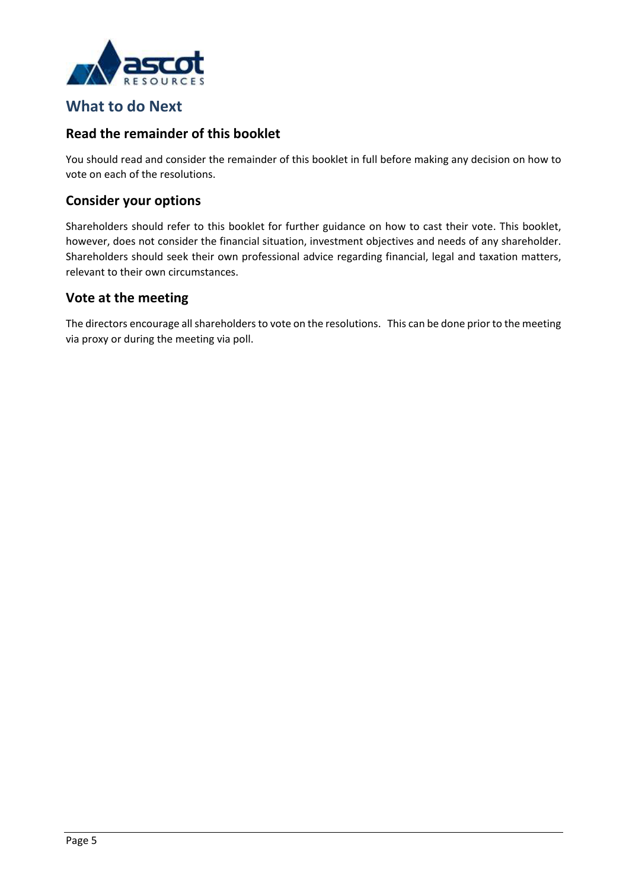

### **What to do Next**

### **Read the remainder of this booklet**

You should read and consider the remainder of this booklet in full before making any decision on how to vote on each of the resolutions.

### **Consider your options**

Shareholders should refer to this booklet for further guidance on how to cast their vote. This booklet, however, does not consider the financial situation, investment objectives and needs of any shareholder. Shareholders should seek their own professional advice regarding financial, legal and taxation matters, relevant to their own circumstances.

### **Vote at the meeting**

The directors encourage all shareholders to vote on the resolutions. This can be done prior to the meeting via proxy or during the meeting via poll.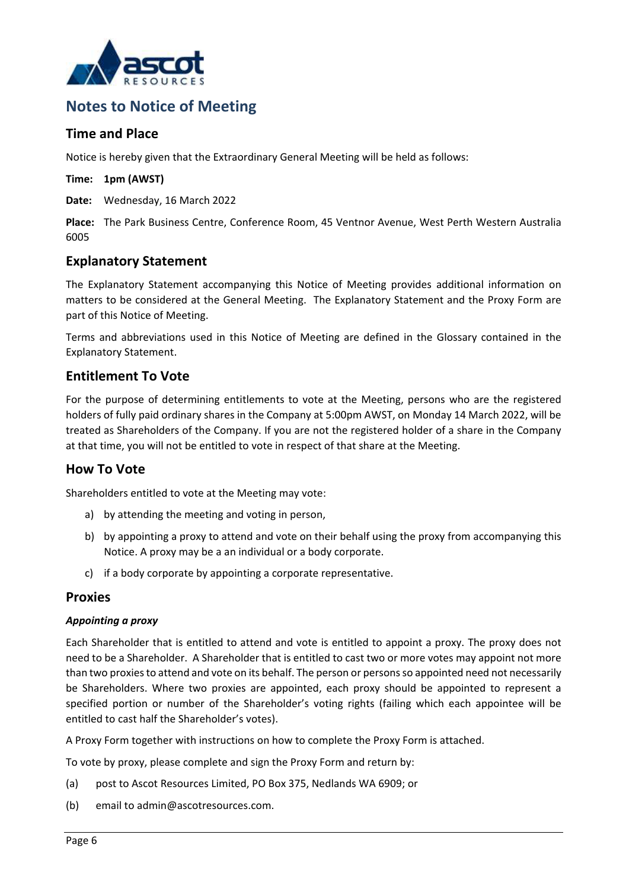

### <span id="page-5-0"></span>**Notes to Notice of Meeting**

### **Time and Place**

Notice is hereby given that the Extraordinary General Meeting will be held as follows:

**Time: 1pm (AWST)**

**Date:** Wednesday, 16 March 2022

**Place:** The Park Business Centre, Conference Room, 45 Ventnor Avenue, West Perth Western Australia 6005

### **Explanatory Statement**

The Explanatory Statement accompanying this Notice of Meeting provides additional information on matters to be considered at the General Meeting. The Explanatory Statement and the Proxy Form are part of this Notice of Meeting.

Terms and abbreviations used in this Notice of Meeting are defined in the Glossary contained in the Explanatory Statement.

### **Entitlement To Vote**

For the purpose of determining entitlements to vote at the Meeting, persons who are the registered holders of fully paid ordinary shares in the Company at 5:00pm AWST, on Monday 14 March 2022, will be treated as Shareholders of the Company. If you are not the registered holder of a share in the Company at that time, you will not be entitled to vote in respect of that share at the Meeting.

### **How To Vote**

Shareholders entitled to vote at the Meeting may vote:

- a) by attending the meeting and voting in person,
- b) by appointing a proxy to attend and vote on their behalf using the proxy from accompanying this Notice. A proxy may be a an individual or a body corporate.
- c) if a body corporate by appointing a corporate representative.

### **Proxies**

### *Appointing a proxy*

Each Shareholder that is entitled to attend and vote is entitled to appoint a proxy. The proxy does not need to be a Shareholder. A Shareholder that is entitled to cast two or more votes may appoint not more than two proxies to attend and vote on its behalf. The person or persons so appointed need not necessarily be Shareholders. Where two proxies are appointed, each proxy should be appointed to represent a specified portion or number of the Shareholder's voting rights (failing which each appointee will be entitled to cast half the Shareholder's votes).

A Proxy Form together with instructions on how to complete the Proxy Form is attached.

To vote by proxy, please complete and sign the Proxy Form and return by:

- (a) post to Ascot Resources Limited, PO Box 375, Nedlands WA 6909; or
- (b) email to admin@ascotresources.com.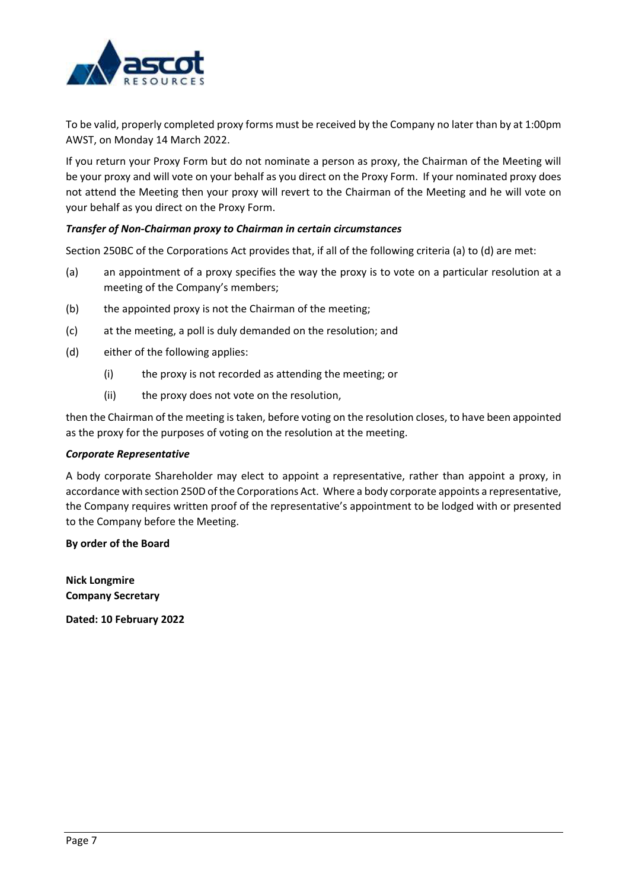

To be valid, properly completed proxy forms must be received by the Company no later than by at 1:00pm AWST, on Monday 14 March 2022.

If you return your Proxy Form but do not nominate a person as proxy, the Chairman of the Meeting will be your proxy and will vote on your behalf as you direct on the Proxy Form. If your nominated proxy does not attend the Meeting then your proxy will revert to the Chairman of the Meeting and he will vote on your behalf as you direct on the Proxy Form.

### *Transfer of Non-Chairman proxy to Chairman in certain circumstances*

Section 250BC of the Corporations Act provides that, if all of the following criteria (a) to (d) are met:

- (a) an appointment of a proxy specifies the way the proxy is to vote on a particular resolution at a meeting of the Company's members;
- (b) the appointed proxy is not the Chairman of the meeting;
- (c) at the meeting, a poll is duly demanded on the resolution; and
- (d) either of the following applies:
	- (i) the proxy is not recorded as attending the meeting; or
	- (ii) the proxy does not vote on the resolution,

then the Chairman of the meeting is taken, before voting on the resolution closes, to have been appointed as the proxy for the purposes of voting on the resolution at the meeting.

### *Corporate Representative*

A body corporate Shareholder may elect to appoint a representative, rather than appoint a proxy, in accordance with section 250D of the Corporations Act. Where a body corporate appoints a representative, the Company requires written proof of the representative's appointment to be lodged with or presented to the Company before the Meeting.

### **By order of the Board**

**Nick Longmire Company Secretary**

**Dated: 10 February 2022**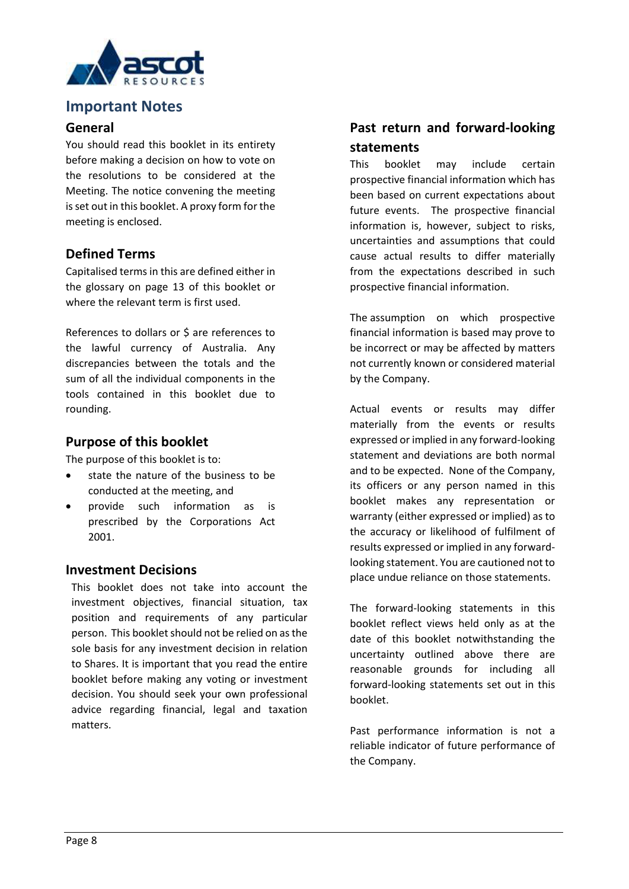

### <span id="page-7-0"></span>**Important Notes**

### **General**

You should read this booklet in its entirety before making a decision on how to vote on the resolutions to be considered at the Meeting. The notice convening the meeting is set out in this booklet. A proxy form for the meeting is enclosed.

### **Defined Terms**

Capitalised terms in this are defined either in the glossary on page 13 of this booklet or where the relevant term is first used.

References to dollars or \$ are references to the lawful currency of Australia. Any discrepancies between the totals and the sum of all the individual components in the tools contained in this booklet due to rounding.

### **Purpose of this booklet**

The purpose of this booklet is to:

- state the nature of the business to be conducted at the meeting, and
- provide such information as is prescribed by the Corporations Act 2001.

### **Investment Decisions**

This booklet does not take into account the investment objectives, financial situation, tax position and requirements of any particular person. This booklet should not be relied on as the sole basis for any investment decision in relation to Shares. It is important that you read the entire booklet before making any voting or investment decision. You should seek your own professional advice regarding financial, legal and taxation matters.

### **Past return and forward-looking statements**

This booklet may include certain prospective financial information which has been based on current expectations about future events. The prospective financial information is, however, subject to risks, uncertainties and assumptions that could cause actual results to differ materially from the expectations described in such prospective financial information.

The assumption on which prospective financial information is based may prove to be incorrect or may be affected by matters not currently known or considered material by the Company.

Actual events or results may differ materially from the events or results expressed or implied in any forward-looking statement and deviations are both normal and to be expected. None of the Company, its officers or any person named in this booklet makes any representation or warranty (either expressed or implied) as to the accuracy or likelihood of fulfilment of results expressed or implied in any forwardlooking statement. You are cautioned not to place undue reliance on those statements.

The forward-looking statements in this booklet reflect views held only as at the date of this booklet notwithstanding the uncertainty outlined above there are reasonable grounds for including all forward-looking statements set out in this booklet.

Past performance information is not a reliable indicator of future performance of the Company.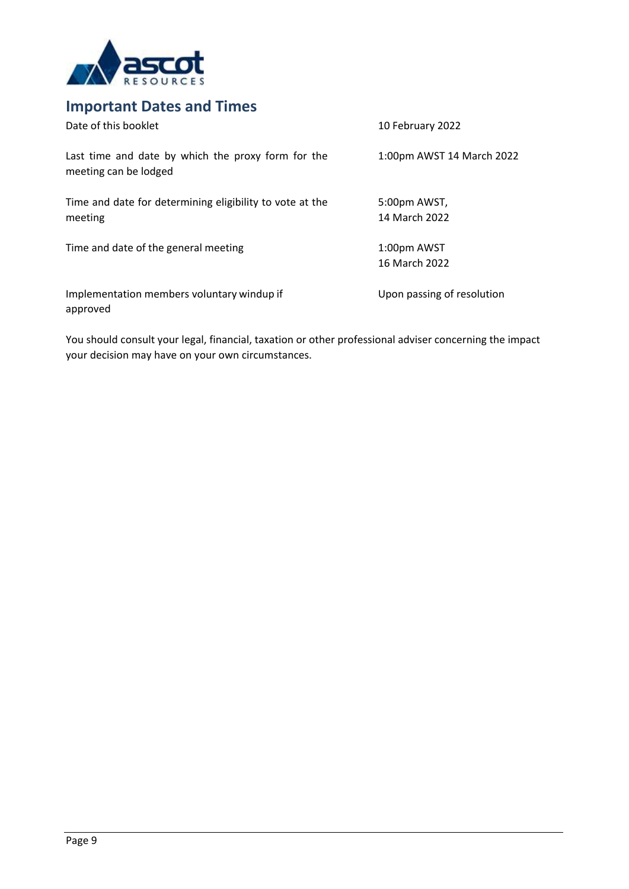

## <span id="page-8-0"></span>**Important Dates and Times**

| Date of this booklet                                                        | 10 February 2022              |
|-----------------------------------------------------------------------------|-------------------------------|
| Last time and date by which the proxy form for the<br>meeting can be lodged | 1:00pm AWST 14 March 2022     |
| Time and date for determining eligibility to vote at the<br>meeting         | 5:00pm AWST,<br>14 March 2022 |
| Time and date of the general meeting                                        | 1:00pm AWST<br>16 March 2022  |
| Implementation members voluntary windup if<br>approved                      | Upon passing of resolution    |

You should consult your legal, financial, taxation or other professional adviser concerning the impact your decision may have on your own circumstances.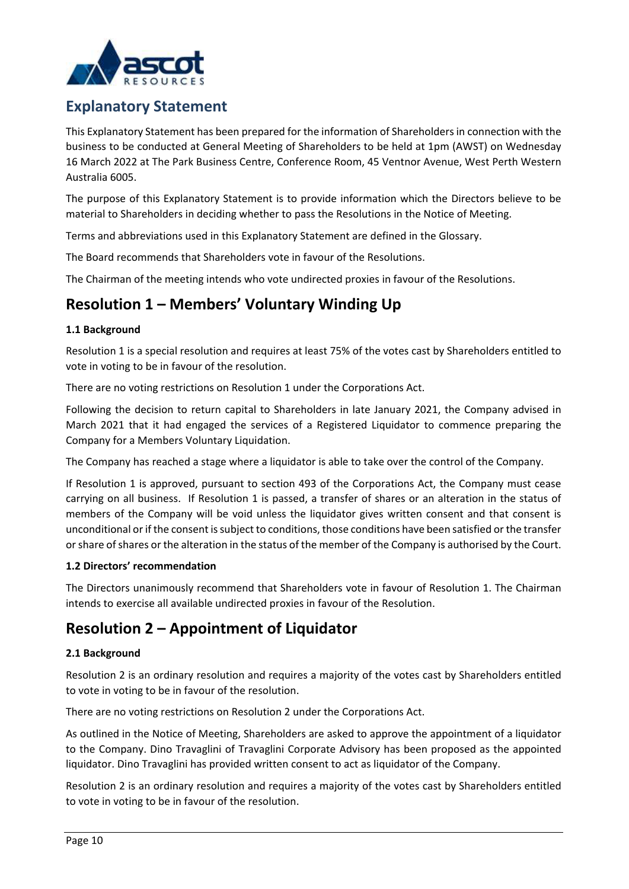

## <span id="page-9-0"></span>**Explanatory Statement**

This Explanatory Statement has been prepared for the information of Shareholders in connection with the business to be conducted at General Meeting of Shareholders to be held at 1pm (AWST) on Wednesday 16 March 2022 at The Park Business Centre, Conference Room, 45 Ventnor Avenue, West Perth Western Australia 6005.

The purpose of this Explanatory Statement is to provide information which the Directors believe to be material to Shareholders in deciding whether to pass the Resolutions in the Notice of Meeting.

Terms and abbreviations used in this Explanatory Statement are defined in the Glossary.

The Board recommends that Shareholders vote in favour of the Resolutions.

The Chairman of the meeting intends who vote undirected proxies in favour of the Resolutions.

## <span id="page-9-1"></span>**Resolution 1 – Members' Voluntary Winding Up**

### **1.1 Background**

Resolution 1 is a special resolution and requires at least 75% of the votes cast by Shareholders entitled to vote in voting to be in favour of the resolution.

There are no voting restrictions on Resolution 1 under the Corporations Act.

Following the decision to return capital to Shareholders in late January 2021, the Company advised in March 2021 that it had engaged the services of a Registered Liquidator to commence preparing the Company for a Members Voluntary Liquidation.

The Company has reached a stage where a liquidator is able to take over the control of the Company.

If Resolution 1 is approved, pursuant to section 493 of the Corporations Act, the Company must cease carrying on all business. If Resolution 1 is passed, a transfer of shares or an alteration in the status of members of the Company will be void unless the liquidator gives written consent and that consent is unconditional or if the consent is subject to conditions, those conditions have been satisfied or the transfer or share of shares or the alteration in the status of the member of the Company is authorised by the Court.

### **1.2 Directors' recommendation**

The Directors unanimously recommend that Shareholders vote in favour of Resolution 1. The Chairman intends to exercise all available undirected proxies in favour of the Resolution.

## <span id="page-9-2"></span>**Resolution 2 – Appointment of Liquidator**

### **2.1 Background**

Resolution 2 is an ordinary resolution and requires a majority of the votes cast by Shareholders entitled to vote in voting to be in favour of the resolution.

There are no voting restrictions on Resolution 2 under the Corporations Act.

As outlined in the Notice of Meeting, Shareholders are asked to approve the appointment of a liquidator to the Company. Dino Travaglini of Travaglini Corporate Advisory has been proposed as the appointed liquidator. Dino Travaglini has provided written consent to act as liquidator of the Company.

Resolution 2 is an ordinary resolution and requires a majority of the votes cast by Shareholders entitled to vote in voting to be in favour of the resolution.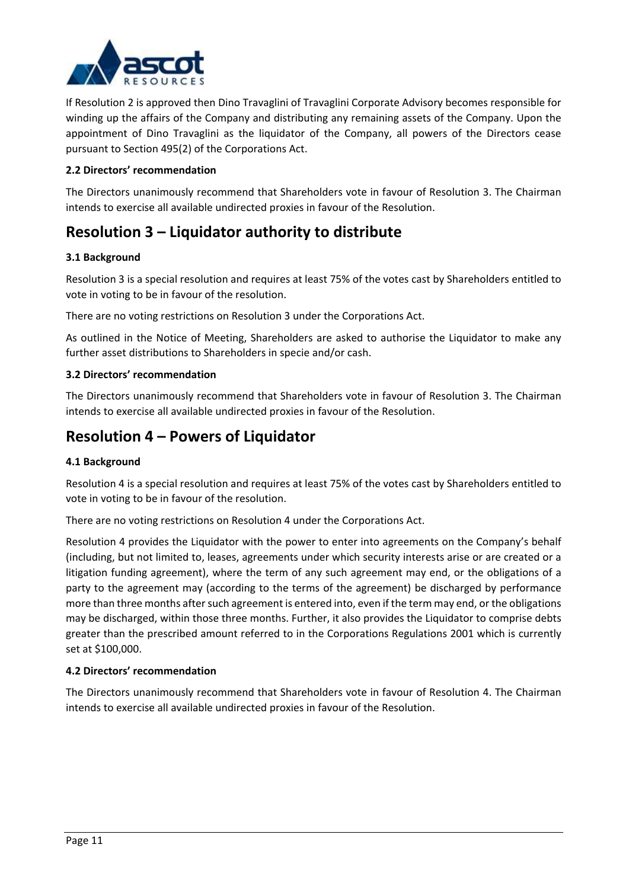

If Resolution 2 is approved then Dino Travaglini of Travaglini Corporate Advisory becomes responsible for winding up the affairs of the Company and distributing any remaining assets of the Company. Upon the appointment of Dino Travaglini as the liquidator of the Company, all powers of the Directors cease pursuant to Section 495(2) of the Corporations Act.

### **2.2 Directors' recommendation**

The Directors unanimously recommend that Shareholders vote in favour of Resolution 3. The Chairman intends to exercise all available undirected proxies in favour of the Resolution.

## <span id="page-10-0"></span>**Resolution 3 – Liquidator authority to distribute**

### **3.1 Background**

Resolution 3 is a special resolution and requires at least 75% of the votes cast by Shareholders entitled to vote in voting to be in favour of the resolution.

There are no voting restrictions on Resolution 3 under the Corporations Act.

As outlined in the Notice of Meeting, Shareholders are asked to authorise the Liquidator to make any further asset distributions to Shareholders in specie and/or cash.

### **3.2 Directors' recommendation**

The Directors unanimously recommend that Shareholders vote in favour of Resolution 3. The Chairman intends to exercise all available undirected proxies in favour of the Resolution.

### <span id="page-10-1"></span>**Resolution 4 – Powers of Liquidator**

### **4.1 Background**

Resolution 4 is a special resolution and requires at least 75% of the votes cast by Shareholders entitled to vote in voting to be in favour of the resolution.

There are no voting restrictions on Resolution 4 under the Corporations Act.

Resolution 4 provides the Liquidator with the power to enter into agreements on the Company's behalf (including, but not limited to, leases, agreements under which security interests arise or are created or a litigation funding agreement), where the term of any such agreement may end, or the obligations of a party to the agreement may (according to the terms of the agreement) be discharged by performance more than three months after such agreement is entered into, even if the term may end, or the obligations may be discharged, within those three months. Further, it also provides the Liquidator to comprise debts greater than the prescribed amount referred to in the Corporations Regulations 2001 which is currently set at \$100,000.

### **4.2 Directors' recommendation**

The Directors unanimously recommend that Shareholders vote in favour of Resolution 4. The Chairman intends to exercise all available undirected proxies in favour of the Resolution.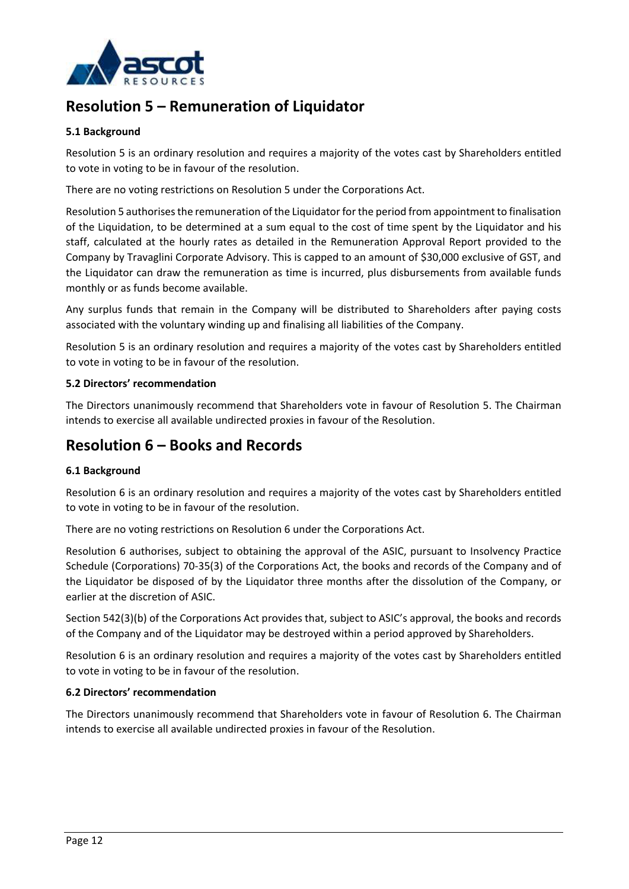

## <span id="page-11-0"></span>**Resolution 5 – Remuneration of Liquidator**

### **5.1 Background**

Resolution 5 is an ordinary resolution and requires a majority of the votes cast by Shareholders entitled to vote in voting to be in favour of the resolution.

There are no voting restrictions on Resolution 5 under the Corporations Act.

Resolution 5 authorises the remuneration of the Liquidator for the period from appointment to finalisation of the Liquidation, to be determined at a sum equal to the cost of time spent by the Liquidator and his staff, calculated at the hourly rates as detailed in the Remuneration Approval Report provided to the Company by Travaglini Corporate Advisory. This is capped to an amount of \$30,000 exclusive of GST, and the Liquidator can draw the remuneration as time is incurred, plus disbursements from available funds monthly or as funds become available.

Any surplus funds that remain in the Company will be distributed to Shareholders after paying costs associated with the voluntary winding up and finalising all liabilities of the Company.

Resolution 5 is an ordinary resolution and requires a majority of the votes cast by Shareholders entitled to vote in voting to be in favour of the resolution.

### **5.2 Directors' recommendation**

The Directors unanimously recommend that Shareholders vote in favour of Resolution 5. The Chairman intends to exercise all available undirected proxies in favour of the Resolution.

## <span id="page-11-1"></span>**Resolution 6 – Books and Records**

### **6.1 Background**

Resolution 6 is an ordinary resolution and requires a majority of the votes cast by Shareholders entitled to vote in voting to be in favour of the resolution.

There are no voting restrictions on Resolution 6 under the Corporations Act.

Resolution 6 authorises, subject to obtaining the approval of the ASIC, pursuant to Insolvency Practice Schedule (Corporations) 70-35(3) of the Corporations Act, the books and records of the Company and of the Liquidator be disposed of by the Liquidator three months after the dissolution of the Company, or earlier at the discretion of ASIC.

Section 542(3)(b) of the Corporations Act provides that, subject to ASIC's approval, the books and records of the Company and of the Liquidator may be destroyed within a period approved by Shareholders.

Resolution 6 is an ordinary resolution and requires a majority of the votes cast by Shareholders entitled to vote in voting to be in favour of the resolution.

### **6.2 Directors' recommendation**

The Directors unanimously recommend that Shareholders vote in favour of Resolution 6. The Chairman intends to exercise all available undirected proxies in favour of the Resolution.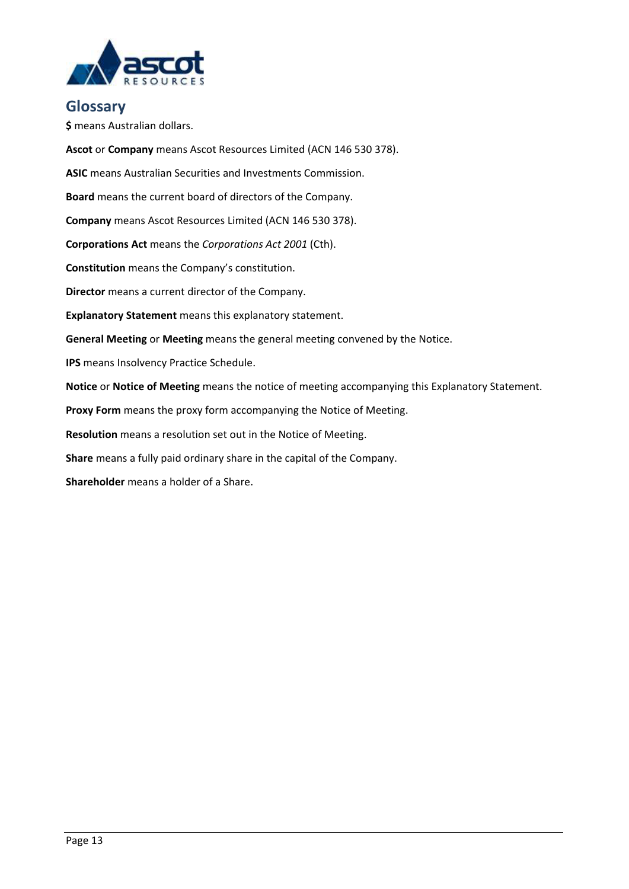

### <span id="page-12-0"></span>**Glossary**

**\$** means Australian dollars.

**Ascot** or **Company** means Ascot Resources Limited (ACN 146 530 378). **ASIC** means Australian Securities and Investments Commission. **Board** means the current board of directors of the Company. **Company** means Ascot Resources Limited (ACN 146 530 378). **Corporations Act** means the *Corporations Act 2001* (Cth). **Constitution** means the Company's constitution. **Director** means a current director of the Company. **Explanatory Statement** means this explanatory statement. **General Meeting** or **Meeting** means the general meeting convened by the Notice. **IPS** means Insolvency Practice Schedule. **Notice** or **Notice of Meeting** means the notice of meeting accompanying this Explanatory Statement. **Proxy Form** means the proxy form accompanying the Notice of Meeting. **Resolution** means a resolution set out in the Notice of Meeting. **Share** means a fully paid ordinary share in the capital of the Company.

**Shareholder** means a holder of a Share.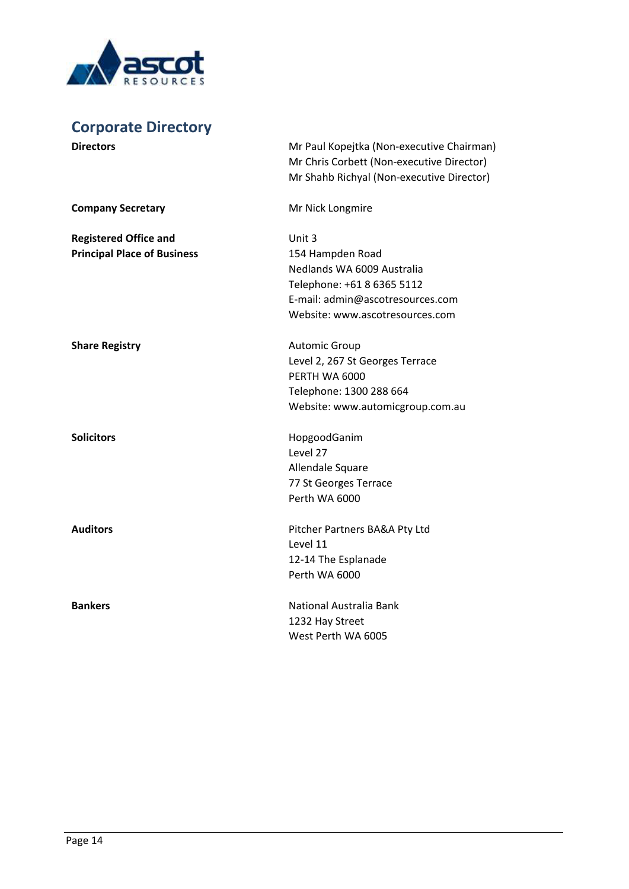

# <span id="page-13-0"></span>**Corporate Directory**

| <b>Directors</b>                   | Mr Paul Kopejtka (Non-executive Chairman)<br>Mr Chris Corbett (Non-executive Director)<br>Mr Shahb Richyal (Non-executive Director) |
|------------------------------------|-------------------------------------------------------------------------------------------------------------------------------------|
| <b>Company Secretary</b>           | Mr Nick Longmire                                                                                                                    |
| <b>Registered Office and</b>       | Unit 3                                                                                                                              |
| <b>Principal Place of Business</b> | 154 Hampden Road                                                                                                                    |
|                                    | Nedlands WA 6009 Australia                                                                                                          |
|                                    | Telephone: +61 8 6365 5112                                                                                                          |
|                                    | E-mail: admin@ascotresources.com<br>Website: www.ascotresources.com                                                                 |
|                                    |                                                                                                                                     |
| <b>Share Registry</b>              | <b>Automic Group</b>                                                                                                                |
|                                    | Level 2, 267 St Georges Terrace                                                                                                     |
|                                    | PERTH WA 6000                                                                                                                       |
|                                    | Telephone: 1300 288 664                                                                                                             |
|                                    | Website: www.automicgroup.com.au                                                                                                    |
| <b>Solicitors</b>                  | HopgoodGanim                                                                                                                        |
|                                    | Level 27                                                                                                                            |
|                                    | Allendale Square                                                                                                                    |
|                                    | 77 St Georges Terrace                                                                                                               |
|                                    | Perth WA 6000                                                                                                                       |
| <b>Auditors</b>                    | Pitcher Partners BA&A Pty Ltd                                                                                                       |
|                                    | Level 11                                                                                                                            |
|                                    | 12-14 The Esplanade                                                                                                                 |
|                                    | Perth WA 6000                                                                                                                       |
| <b>Bankers</b>                     | National Australia Bank                                                                                                             |
|                                    | 1232 Hay Street                                                                                                                     |
|                                    | West Perth WA 6005                                                                                                                  |
|                                    |                                                                                                                                     |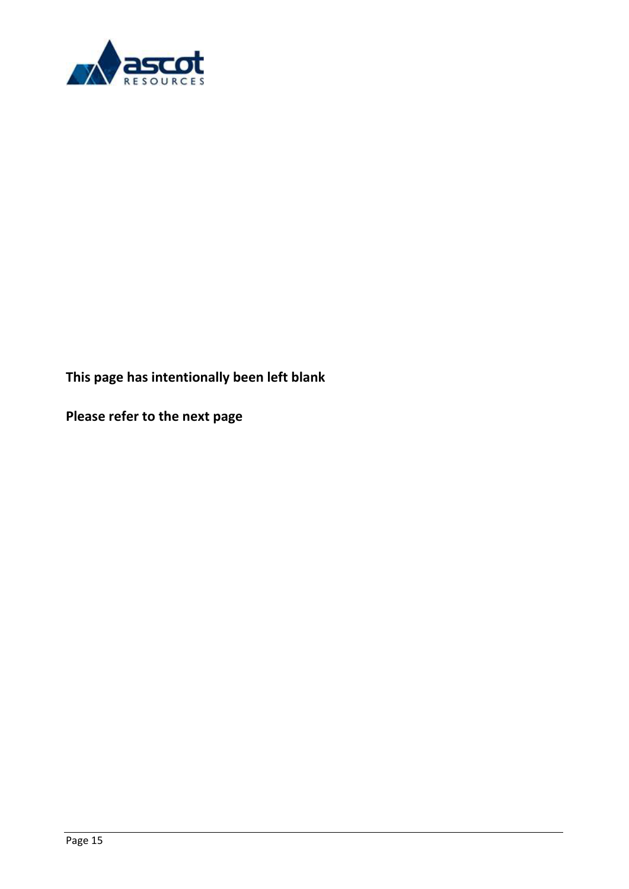

**This page has intentionally been left blank**

**Please refer to the next page**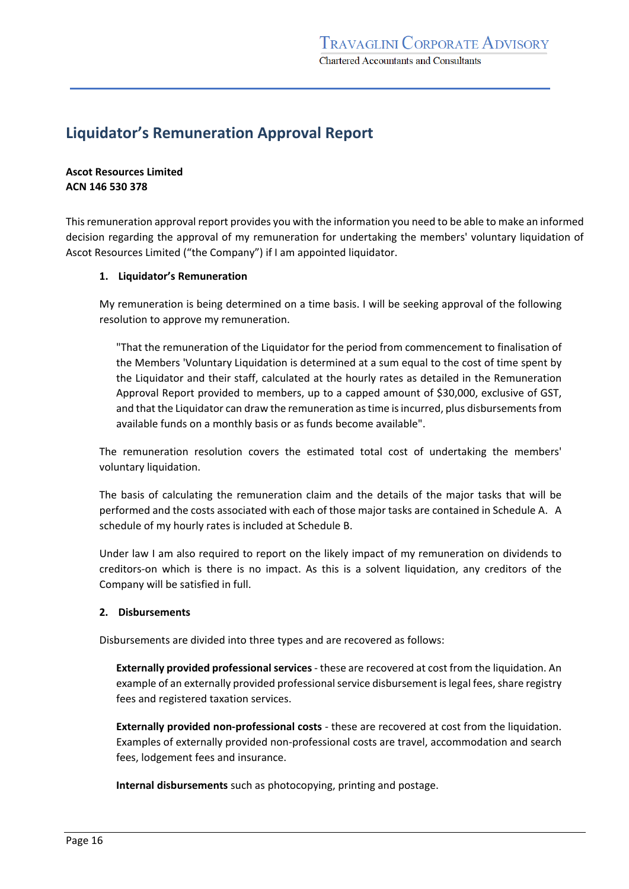## <span id="page-15-0"></span>**Liquidator's Remuneration Approval Report**

**Ascot Resources Limited ACN 146 530 378**

This remuneration approval report provides you with the information you need to be able to make an informed decision regarding the approval of my remuneration for undertaking the members' voluntary liquidation of Ascot Resources Limited ("the Company") if I am appointed liquidator.

### **1. Liquidator's Remuneration**

My remuneration is being determined on a time basis. I will be seeking approval of the following resolution to approve my remuneration.

"That the remuneration of the Liquidator for the period from commencement to finalisation of the Members 'Voluntary Liquidation is determined at a sum equal to the cost of time spent by the Liquidator and their staff, calculated at the hourly rates as detailed in the Remuneration Approval Report provided to members, up to a capped amount of \$30,000, exclusive of GST, and that the Liquidator can draw the remuneration as time is incurred, plus disbursements from available funds on a monthly basis or as funds become available".

The remuneration resolution covers the estimated total cost of undertaking the members' voluntary liquidation.

The basis of calculating the remuneration claim and the details of the major tasks that will be performed and the costs associated with each of those major tasks are contained in Schedule A. A schedule of my hourly rates is included at Schedule B.

Under law I am also required to report on the likely impact of my remuneration on dividends to creditors-on which is there is no impact. As this is a solvent liquidation, any creditors of the Company will be satisfied in full.

### **2. Disbursements**

Disbursements are divided into three types and are recovered as follows:

**Externally provided professional services**- these are recovered at cost from the liquidation. An example of an externally provided professional service disbursement is legal fees, share registry fees and registered taxation services.

**Externally provided non-professional costs** - these are recovered at cost from the liquidation. Examples of externally provided non-professional costs are travel, accommodation and search fees, lodgement fees and insurance.

**Internal disbursements** such as photocopying, printing and postage.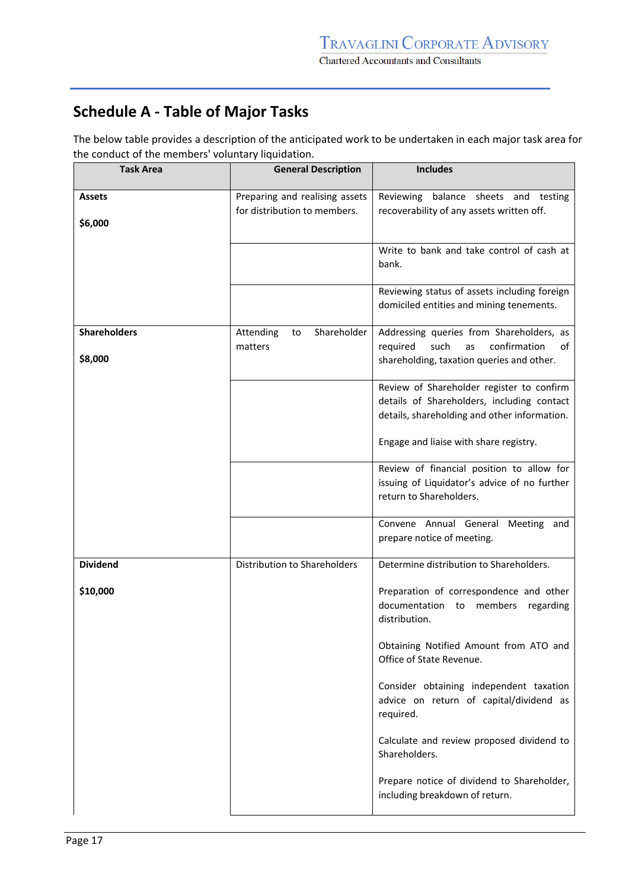# **Schedule A - Table of Major Tasks**

The below table provides a description of the anticipated work to be undertaken in each major task area for the conduct of the members' voluntary liquidation.

| <b>Task Area</b>               | <b>General Description</b>                                     | <b>Includes</b>                                                                                                                                                                   |
|--------------------------------|----------------------------------------------------------------|-----------------------------------------------------------------------------------------------------------------------------------------------------------------------------------|
| <b>Assets</b><br>\$6,000       | Preparing and realising assets<br>for distribution to members. | Reviewing balance sheets and testing<br>recoverability of any assets written off.                                                                                                 |
|                                |                                                                | Write to bank and take control of cash at<br>bank.                                                                                                                                |
|                                |                                                                | Reviewing status of assets including foreign<br>domiciled entities and mining tenements.                                                                                          |
| <b>Shareholders</b><br>\$8,000 | Shareholder<br>Attending<br>to<br>matters                      | Addressing queries from Shareholders, as<br>such<br>confirmation<br>required<br>as<br>of<br>shareholding, taxation queries and other.                                             |
|                                |                                                                | Review of Shareholder register to confirm<br>details of Shareholders, including contact<br>details, shareholding and other information.<br>Engage and liaise with share registry. |
|                                |                                                                | Review of financial position to allow for<br>issuing of Liquidator's advice of no further<br>return to Shareholders.                                                              |
|                                |                                                                | Convene Annual General Meeting and<br>prepare notice of meeting.                                                                                                                  |
| <b>Dividend</b>                | Distribution to Shareholders                                   | Determine distribution to Shareholders.                                                                                                                                           |
| \$10,000                       |                                                                | Preparation of correspondence and other<br>documentation<br>members<br>regarding<br>to<br>distribution.                                                                           |
|                                |                                                                | Obtaining Notified Amount from ATO and<br>Office of State Revenue.                                                                                                                |
|                                |                                                                | Consider obtaining independent taxation<br>advice on return of capital/dividend as<br>required.                                                                                   |
|                                |                                                                | Calculate and review proposed dividend to<br>Shareholders.                                                                                                                        |
|                                |                                                                | Prepare notice of dividend to Shareholder,<br>including breakdown of return.                                                                                                      |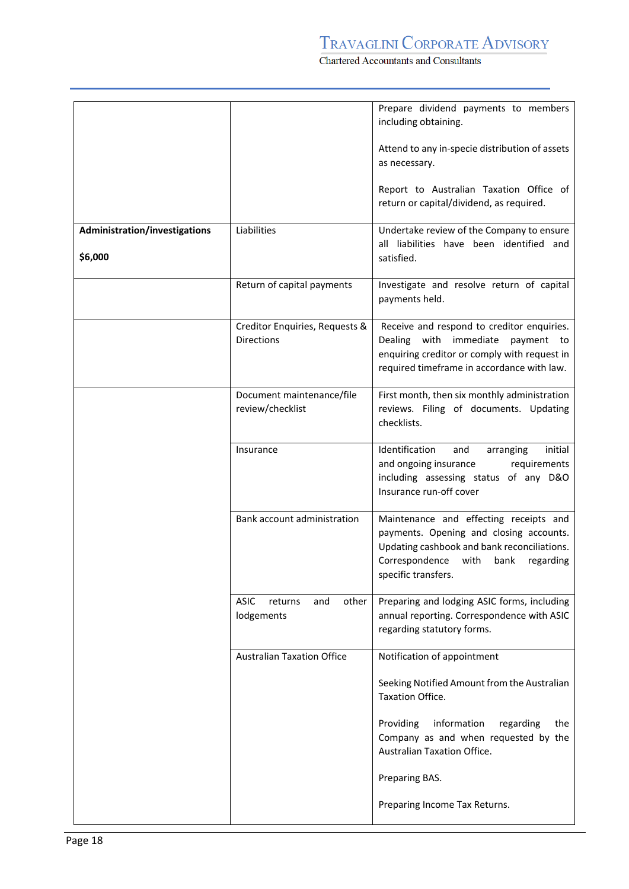Chartered Accountants and Consultants

|                               |                                                      | Prepare dividend payments to members<br>including obtaining.                                                                                                                                           |
|-------------------------------|------------------------------------------------------|--------------------------------------------------------------------------------------------------------------------------------------------------------------------------------------------------------|
|                               |                                                      | Attend to any in-specie distribution of assets<br>as necessary.                                                                                                                                        |
|                               |                                                      | Report to Australian Taxation Office of<br>return or capital/dividend, as required.                                                                                                                    |
| Administration/investigations | Liabilities                                          | Undertake review of the Company to ensure                                                                                                                                                              |
| \$6,000                       |                                                      | all liabilities have been identified and<br>satisfied.                                                                                                                                                 |
|                               | Return of capital payments                           | Investigate and resolve return of capital<br>payments held.                                                                                                                                            |
|                               | Creditor Enquiries, Requests &<br><b>Directions</b>  | Receive and respond to creditor enquiries.<br>Dealing with immediate<br>payment to<br>enquiring creditor or comply with request in<br>required timeframe in accordance with law.                       |
|                               | Document maintenance/file<br>review/checklist        | First month, then six monthly administration<br>reviews. Filing of documents. Updating<br>checklists.                                                                                                  |
|                               | Insurance                                            | Identification<br>and<br>initial<br>arranging<br>and ongoing insurance<br>requirements<br>including assessing status of any D&O<br>Insurance run-off cover                                             |
|                               | Bank account administration                          | Maintenance and effecting receipts and<br>payments. Opening and closing accounts.<br>Updating cashbook and bank reconciliations.<br>Correspondence<br>with<br>bank<br>regarding<br>specific transfers. |
|                               | <b>ASIC</b><br>and<br>other<br>returns<br>lodgements | Preparing and lodging ASIC forms, including<br>annual reporting. Correspondence with ASIC<br>regarding statutory forms.                                                                                |
|                               | <b>Australian Taxation Office</b>                    | Notification of appointment                                                                                                                                                                            |
|                               |                                                      | Seeking Notified Amount from the Australian<br>Taxation Office.                                                                                                                                        |
|                               |                                                      | Providing<br>information<br>regarding<br>the<br>Company as and when requested by the<br>Australian Taxation Office.                                                                                    |
|                               |                                                      | Preparing BAS.                                                                                                                                                                                         |
|                               |                                                      | Preparing Income Tax Returns.                                                                                                                                                                          |
|                               |                                                      |                                                                                                                                                                                                        |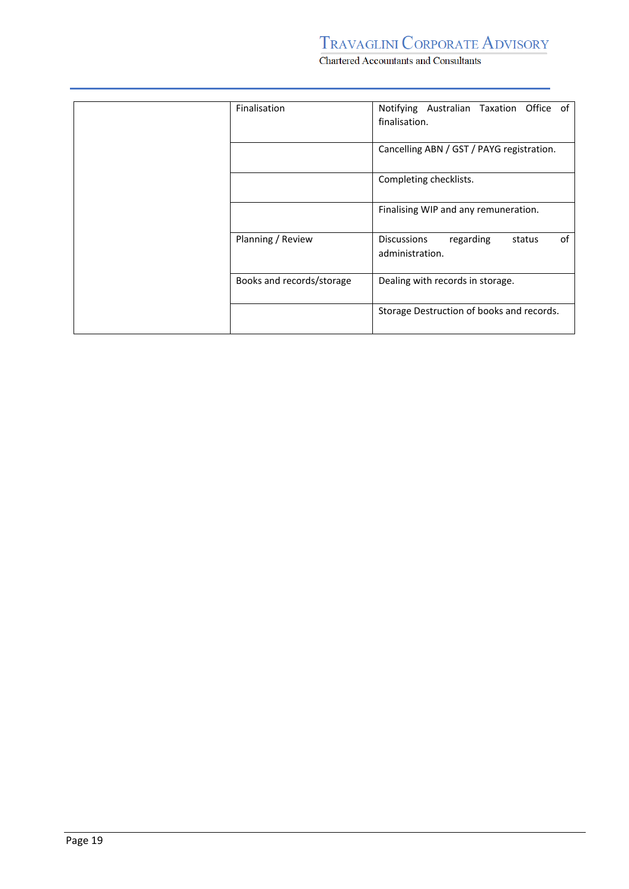Chartered Accountants and Consultants

| Finalisation              | Office of<br>Notifying Australian Taxation      |  |
|---------------------------|-------------------------------------------------|--|
|                           | finalisation.                                   |  |
|                           |                                                 |  |
|                           |                                                 |  |
|                           | Cancelling ABN / GST / PAYG registration.       |  |
|                           |                                                 |  |
|                           |                                                 |  |
|                           | Completing checklists.                          |  |
|                           |                                                 |  |
|                           |                                                 |  |
|                           | Finalising WIP and any remuneration.            |  |
|                           |                                                 |  |
|                           |                                                 |  |
| Planning / Review         | 0f<br><b>Discussions</b><br>regarding<br>status |  |
|                           | administration.                                 |  |
|                           |                                                 |  |
|                           |                                                 |  |
| Books and records/storage | Dealing with records in storage.                |  |
|                           |                                                 |  |
|                           |                                                 |  |
|                           | Storage Destruction of books and records.       |  |
|                           |                                                 |  |
|                           |                                                 |  |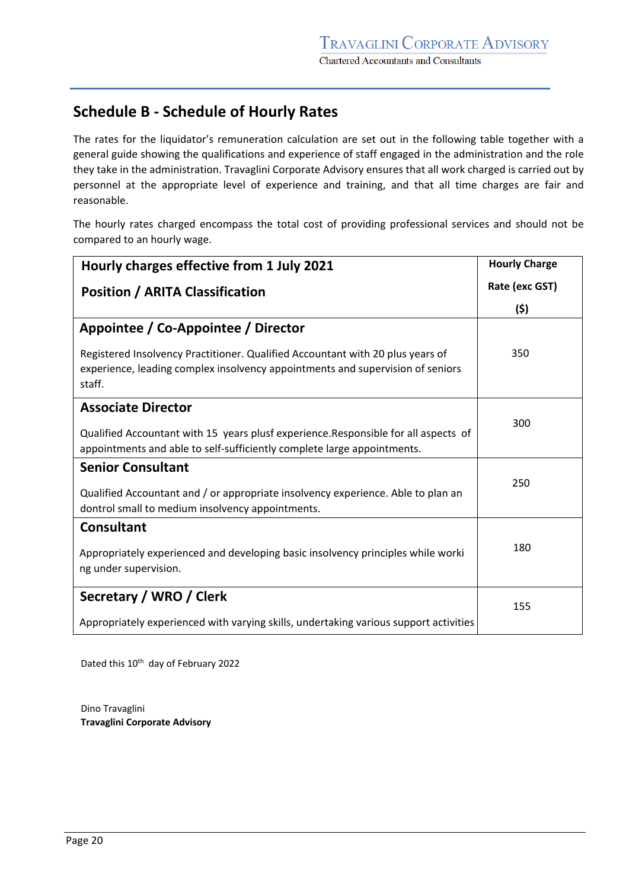## **Schedule B - Schedule of Hourly Rates**

The rates for the liquidator's remuneration calculation are set out in the following table together with a general guide showing the qualifications and experience of staff engaged in the administration and the role they take in the administration. Travaglini Corporate Advisory ensures that all work charged is carried out by personnel at the appropriate level of experience and training, and that all time charges are fair and reasonable.

The hourly rates charged encompass the total cost of providing professional services and should not be compared to an hourly wage.

| Hourly charges effective from 1 July 2021                                                                                                                                  | <b>Hourly Charge</b> |
|----------------------------------------------------------------------------------------------------------------------------------------------------------------------------|----------------------|
| <b>Position / ARITA Classification</b>                                                                                                                                     | Rate (exc GST)       |
|                                                                                                                                                                            | (5)                  |
| Appointee / Co-Appointee / Director                                                                                                                                        |                      |
| Registered Insolvency Practitioner. Qualified Accountant with 20 plus years of<br>experience, leading complex insolvency appointments and supervision of seniors<br>staff. | 350                  |
| <b>Associate Director</b>                                                                                                                                                  |                      |
| Qualified Accountant with 15 years plusf experience. Responsible for all aspects of<br>appointments and able to self-sufficiently complete large appointments.             | 300                  |
| <b>Senior Consultant</b>                                                                                                                                                   |                      |
| Qualified Accountant and / or appropriate insolvency experience. Able to plan an<br>dontrol small to medium insolvency appointments.                                       | 250                  |
| <b>Consultant</b>                                                                                                                                                          |                      |
| Appropriately experienced and developing basic insolvency principles while worki<br>ng under supervision.                                                                  | 180                  |
| Secretary / WRO / Clerk                                                                                                                                                    | 155                  |
| Appropriately experienced with varying skills, undertaking various support activities                                                                                      |                      |

Dated this 10<sup>th</sup> day of February 2022

Dino Travaglini **Travaglini Corporate Advisory**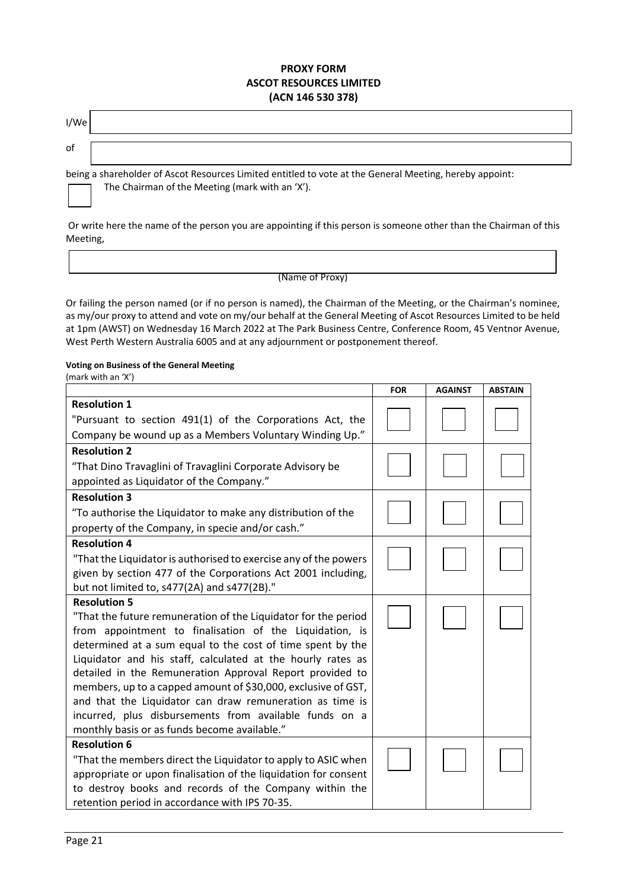### **PROXY FORM ASCOT RESOURCES LIMITED (ACN 146 530 378)**

| I/We |  |
|------|--|
| of   |  |

being a shareholder of Ascot Resources Limited entitled to vote at the General Meeting, hereby appoint: The Chairman of the Meeting (mark with an 'X').

Or write here the name of the person you are appointing if this person is someone other than the Chairman of this Meeting,

#### (Name of Proxy)

Or failing the person named (or if no person is named), the Chairman of the Meeting, or the Chairman's nominee, as my/our proxy to attend and vote on my/our behalf at the General Meeting of Ascot Resources Limited to be held at 1pm (AWST) on Wednesday 16 March 2022 at The Park Business Centre, Conference Room, 45 Ventnor Avenue, West Perth Western Australia 6005 and at any adjournment or postponement thereof.

#### **Voting on Business of the General Meeting**

(mark with an 'X')

|                                                                     | <b>FOR</b> | <b>AGAINST</b> | <b>ABSTAIN</b> |
|---------------------------------------------------------------------|------------|----------------|----------------|
| <b>Resolution 1</b>                                                 |            |                |                |
| "Pursuant to section 491(1) of the Corporations Act, the            |            |                |                |
| Company be wound up as a Members Voluntary Winding Up."             |            |                |                |
| <b>Resolution 2</b>                                                 |            |                |                |
| "That Dino Travaglini of Travaglini Corporate Advisory be           |            |                |                |
| appointed as Liquidator of the Company."                            |            |                |                |
| <b>Resolution 3</b>                                                 |            |                |                |
| "To authorise the Liquidator to make any distribution of the        |            |                |                |
| property of the Company, in specie and/or cash."                    |            |                |                |
| <b>Resolution 4</b>                                                 |            |                |                |
| "That the Liquidator is authorised to exercise any of the powers    |            |                |                |
| given by section 477 of the Corporations Act 2001 including,        |            |                |                |
| but not limited to, s477(2A) and s477(2B)."                         |            |                |                |
| <b>Resolution 5</b>                                                 |            |                |                |
| "That the future remuneration of the Liquidator for the period      |            |                |                |
| from appointment to finalisation of the Liquidation, is             |            |                |                |
| determined at a sum equal to the cost of time spent by the          |            |                |                |
| Liquidator and his staff, calculated at the hourly rates as         |            |                |                |
| detailed in the Remuneration Approval Report provided to            |            |                |                |
| members, up to a capped amount of \$30,000, exclusive of GST,       |            |                |                |
| and that the Liquidator can draw remuneration as time is            |            |                |                |
| incurred, plus disbursements from available funds on a              |            |                |                |
| monthly basis or as funds become available."<br><b>Resolution 6</b> |            |                |                |
| "That the members direct the Liquidator to apply to ASIC when       |            |                |                |
| appropriate or upon finalisation of the liquidation for consent     |            |                |                |
| to destroy books and records of the Company within the              |            |                |                |
| retention period in accordance with IPS 70-35.                      |            |                |                |
|                                                                     |            |                |                |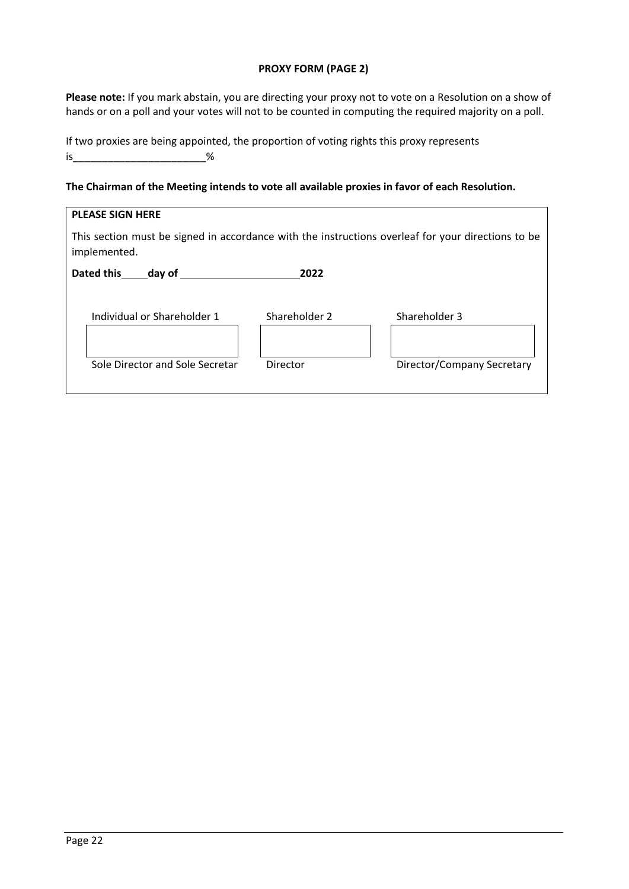### **PROXY FORM (PAGE 2)**

**Please note:** If you mark abstain, you are directing your proxy not to vote on a Resolution on a show of hands or on a poll and your votes will not to be counted in computing the required majority on a poll.

| If two proxies are being appointed, the proportion of voting rights this proxy represents |
|-------------------------------------------------------------------------------------------|
|                                                                                           |

### **The Chairman of the Meeting intends to vote all available proxies in favor of each Resolution.**

| <b>PLEASE SIGN HERE</b>                                                                                            |               |                            |  |
|--------------------------------------------------------------------------------------------------------------------|---------------|----------------------------|--|
| This section must be signed in accordance with the instructions overleaf for your directions to be<br>implemented. |               |                            |  |
| Dated this day of                                                                                                  | 2022          |                            |  |
| Individual or Shareholder 1                                                                                        | Shareholder 2 | Shareholder 3              |  |
| Sole Director and Sole Secretar                                                                                    | Director      | Director/Company Secretary |  |